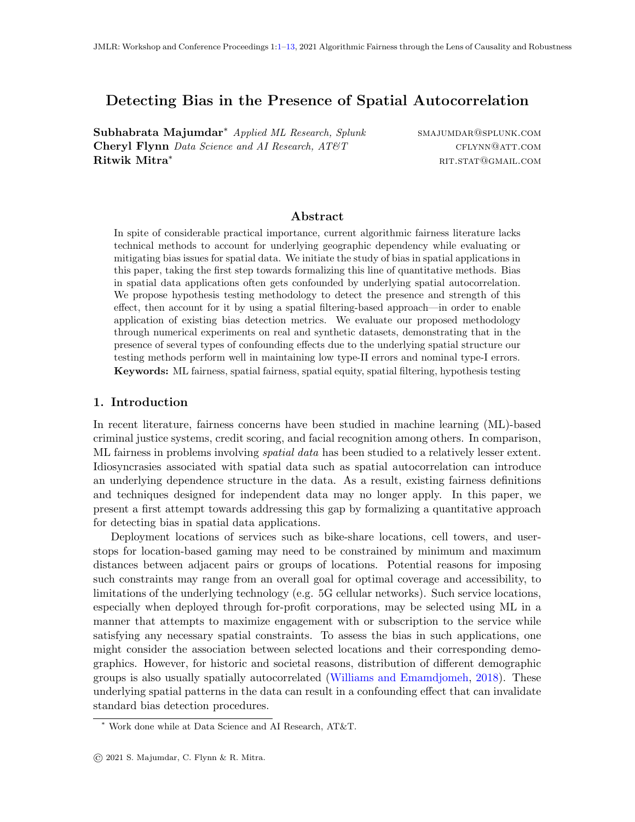# Detecting Bias in the Presence of Spatial Autocorrelation

Subhabrata Majumdar<sup>\*</sup> Applied ML Research, Splunk SMAJUMDAR@SPLUNK.COM Cheryl Flynn Data Science and AI Research,  $AT\&T$  cflynn@att.com **Ritwik Mitra<sup>\*</sup>** ritual ritual ritual ritual ritual ritual ritual ritual ritual ritual ritual ritual ritual ritual ritual ritual ritual ritual ritual ritual ritual ritual ritual ritual ritual ritual ritual ritual ritual

# <span id="page-0-0"></span>Abstract

In spite of considerable practical importance, current algorithmic fairness literature lacks technical methods to account for underlying geographic dependency while evaluating or mitigating bias issues for spatial data. We initiate the study of bias in spatial applications in this paper, taking the first step towards formalizing this line of quantitative methods. Bias in spatial data applications often gets confounded by underlying spatial autocorrelation. We propose hypothesis testing methodology to detect the presence and strength of this effect, then account for it by using a spatial filtering-based approach—in order to enable application of existing bias detection metrics. We evaluate our proposed methodology through numerical experiments on real and synthetic datasets, demonstrating that in the presence of several types of confounding effects due to the underlying spatial structure our testing methods perform well in maintaining low type-II errors and nominal type-I errors. Keywords: ML fairness, spatial fairness, spatial equity, spatial filtering, hypothesis testing

# <span id="page-0-1"></span>1. Introduction

In recent literature, fairness concerns have been studied in machine learning (ML)-based criminal justice systems, credit scoring, and facial recognition among others. In comparison, ML fairness in problems involving *spatial data* has been studied to a relatively lesser extent. Idiosyncrasies associated with spatial data such as spatial autocorrelation can introduce an underlying dependence structure in the data. As a result, existing fairness definitions and techniques designed for independent data may no longer apply. In this paper, we present a first attempt towards addressing this gap by formalizing a quantitative approach for detecting bias in spatial data applications.

Deployment locations of services such as bike-share locations, cell towers, and userstops for location-based gaming may need to be constrained by minimum and maximum distances between adjacent pairs or groups of locations. Potential reasons for imposing such constraints may range from an overall goal for optimal coverage and accessibility, to limitations of the underlying technology (e.g. 5G cellular networks). Such service locations, especially when deployed through for-profit corporations, may be selected using ML in a manner that attempts to maximize engagement with or subscription to the service while satisfying any necessary spatial constraints. To assess the bias in such applications, one might consider the association between selected locations and their corresponding demographics. However, for historic and societal reasons, distribution of different demographic groups is also usually spatially autocorrelated [\(Williams and Emamdjomeh,](#page-10-0) [2018\)](#page-10-0). These underlying spatial patterns in the data can result in a confounding effect that can invalidate standard bias detection procedures.

<sup>∗</sup> Work done while at Data Science and AI Research, AT&T.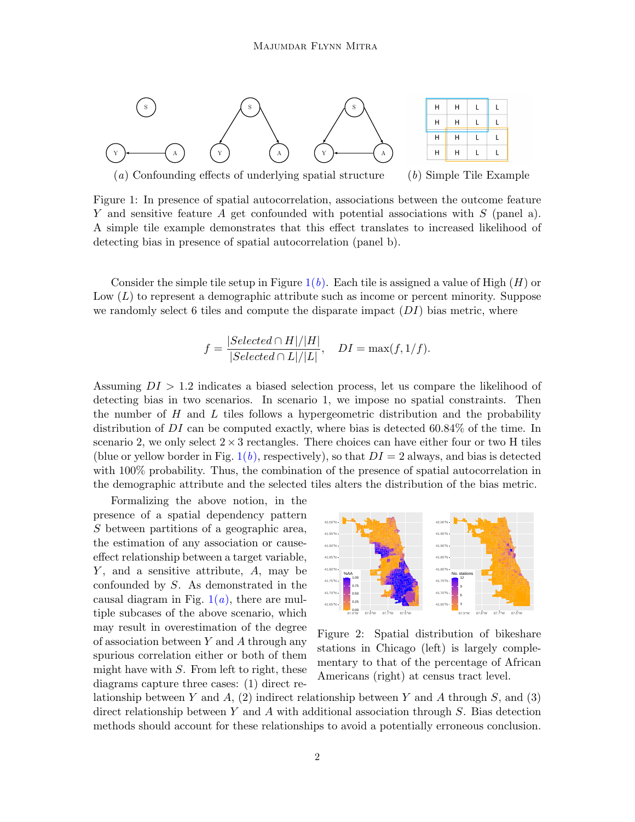<span id="page-1-1"></span>

(a) Confounding effects of underlying spatial structure  $\qquad$  (b) Simple Tile Example

<span id="page-1-0"></span>

 $\mathsf{L}$ 

L

L

 $\mathsf L$ 

Figure 1: In presence of spatial autocorrelation, associations between the outcome feature Y and sensitive feature A get confounded with potential associations with  $S$  (panel a). A simple tile example demonstrates that this effect translates to increased likelihood of detecting bias in presence of spatial autocorrelation (panel b).

Consider the simple tile setup in Figure  $1(b)$  $1(b)$ . Each tile is assigned a value of High  $(H)$  or Low  $(L)$  to represent a demographic attribute such as income or percent minority. Suppose we randomly select 6 tiles and compute the disparate impact  $(DI)$  bias metric, where

$$
f = \frac{|Selected \cap H|/|H|}{|Selected \cap L|/|L|}, \quad DI = \max(f, 1/f).
$$

Assuming  $DI > 1.2$  indicates a biased selection process, let us compare the likelihood of detecting bias in two scenarios. In scenario 1, we impose no spatial constraints. Then the number of  $H$  and  $L$  tiles follows a hypergeometric distribution and the probability distribution of  $DI$  can be computed exactly, where bias is detected 60.84% of the time. In scenario 2, we only select  $2 \times 3$  rectangles. There choices can have either four or two H tiles (blue or yellow border in Fig. [1\(](#page-1-0)b), respectively), so that  $DI = 2$  always, and bias is detected with 100% probability. Thus, the combination of the presence of spatial autocorrelation in the demographic attribute and the selected tiles alters the distribution of the bias metric.

Formalizing the above notion, in the presence of a spatial dependency pattern S between partitions of a geographic area, the estimation of any association or causeeffect relationship between a target variable,  $Y$ , and a sensitive attribute,  $A$ , may be confounded by S. As demonstrated in the causal diagram in Fig.  $1(a)$  $1(a)$ , there are multiple subcases of the above scenario, which may result in overestimation of the degree of association between Y and A through any spurious correlation either or both of them might have with  $S$ . From left to right, these diagrams capture three cases: (1) direct re-

<span id="page-1-2"></span>

Figure 2: Spatial distribution of bikeshare stations in Chicago (left) is largely complementary to that of the percentage of African Americans (right) at census tract level.

lationship between Y and A, (2) indirect relationship between Y and A through S, and (3) direct relationship between Y and A with additional association through  $S$ . Bias detection methods should account for these relationships to avoid a potentially erroneous conclusion.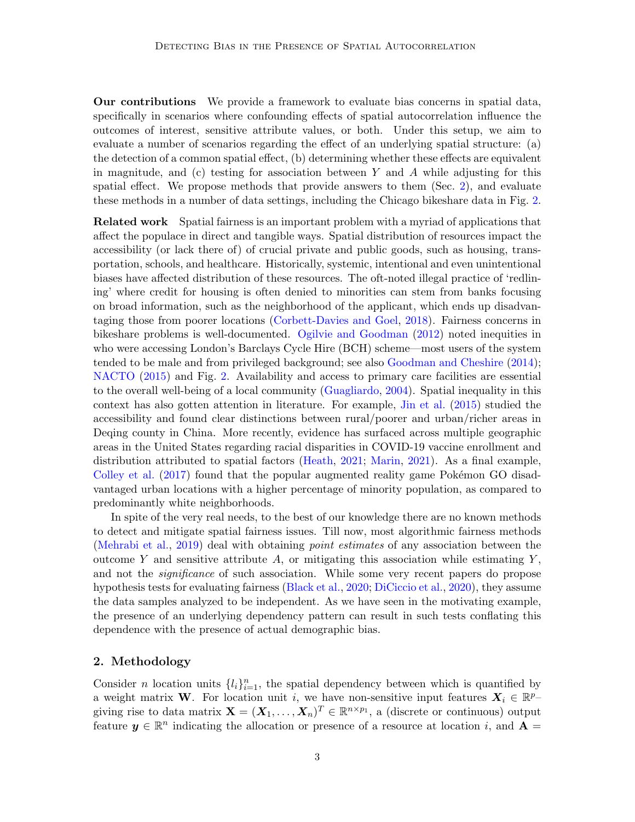Our contributions We provide a framework to evaluate bias concerns in spatial data, specifically in scenarios where confounding effects of spatial autocorrelation influence the outcomes of interest, sensitive attribute values, or both. Under this setup, we aim to evaluate a number of scenarios regarding the effect of an underlying spatial structure: (a) the detection of a common spatial effect, (b) determining whether these effects are equivalent in magnitude, and (c) testing for association between Y and A while adjusting for this spatial effect. We propose methods that provide answers to them (Sec. [2\)](#page-2-0), and evaluate these methods in a number of data settings, including the Chicago bikeshare data in Fig. [2.](#page-1-2)

**Related work** Spatial fairness is an important problem with a myriad of applications that affect the populace in direct and tangible ways. Spatial distribution of resources impact the accessibility (or lack there of) of crucial private and public goods, such as housing, transportation, schools, and healthcare. Historically, systemic, intentional and even unintentional biases have affected distribution of these resources. The oft-noted illegal practice of 'redlining' where credit for housing is often denied to minorities can stem from banks focusing on broad information, such as the neighborhood of the applicant, which ends up disadvantaging those from poorer locations [\(Corbett-Davies and Goel,](#page-9-0) [2018\)](#page-9-0). Fairness concerns in bikeshare problems is well-documented. [Ogilvie and Goodman](#page-10-1) [\(2012\)](#page-10-1) noted inequities in who were accessing London's Barclays Cycle Hire (BCH) scheme—most users of the system tended to be male and from privileged background; see also [Goodman and Cheshire](#page-9-1) [\(2014\)](#page-9-1); [NACTO](#page-10-2) [\(2015\)](#page-10-2) and Fig. [2.](#page-1-2) Availability and access to primary care facilities are essential to the overall well-being of a local community [\(Guagliardo,](#page-9-2) [2004\)](#page-9-2). Spatial inequality in this context has also gotten attention in literature. For example, [Jin et al.](#page-9-3) [\(2015\)](#page-9-3) studied the accessibility and found clear distinctions between rural/poorer and urban/richer areas in Deqing county in China. More recently, evidence has surfaced across multiple geographic areas in the United States regarding racial disparities in COVID-19 vaccine enrollment and distribution attributed to spatial factors [\(Heath,](#page-9-4) [2021;](#page-9-4) [Marin,](#page-10-3) [2021\)](#page-10-3). As a final example, [Colley et al.](#page-9-5)  $(2017)$  found that the popular augmented reality game Pokémon GO disadvantaged urban locations with a higher percentage of minority population, as compared to predominantly white neighborhoods.

In spite of the very real needs, to the best of our knowledge there are no known methods to detect and mitigate spatial fairness issues. Till now, most algorithmic fairness methods [\(Mehrabi et al.,](#page-10-4) [2019\)](#page-10-4) deal with obtaining point estimates of any association between the outcome Y and sensitive attribute  $A$ , or mitigating this association while estimating  $Y$ , and not the *significance* of such association. While some very recent papers do propose hypothesis tests for evaluating fairness [\(Black et al.,](#page-8-0) [2020;](#page-8-0) [DiCiccio et al.,](#page-9-6) [2020\)](#page-9-6), they assume the data samples analyzed to be independent. As we have seen in the motivating example, the presence of an underlying dependency pattern can result in such tests conflating this dependence with the presence of actual demographic bias.

# <span id="page-2-0"></span>2. Methodology

Consider *n* location units  $\{l_i\}_{i=1}^n$ , the spatial dependency between which is quantified by a weight matrix W. For location unit i, we have non-sensitive input features  $X_i \in \mathbb{R}^{p-1}$ giving rise to data matrix  $\mathbf{X} = (\mathbf{X}_1, \dots, \mathbf{X}_n)^T \in \mathbb{R}^{n \times p_1}$ , a (discrete or continuous) output feature  $y \in \mathbb{R}^n$  indicating the allocation or presence of a resource at location i, and  $A =$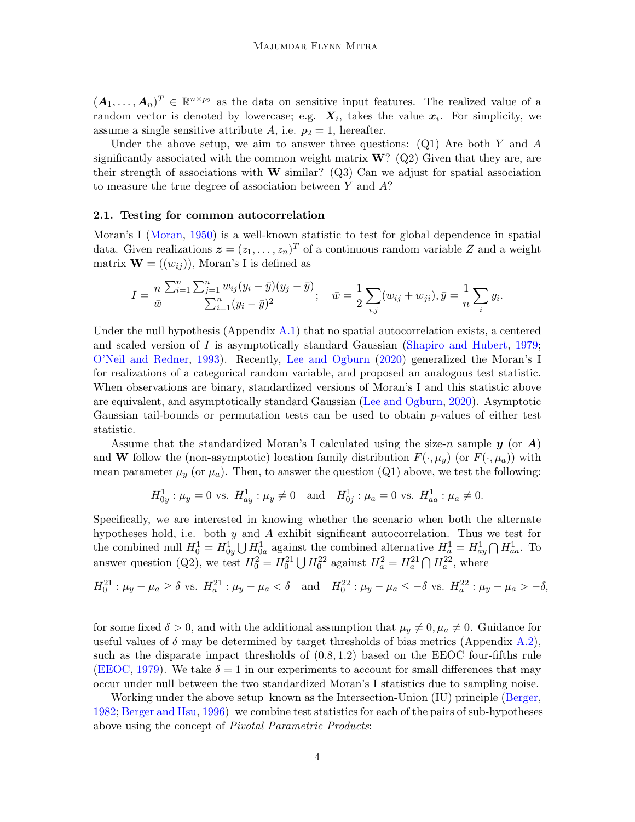$(A_1,\ldots,A_n)^T \in \mathbb{R}^{n \times p_2}$  as the data on sensitive input features. The realized value of a random vector is denoted by lowercase; e.g.  $\mathbf{X}_i$ , takes the value  $\mathbf{x}_i$ . For simplicity, we assume a single sensitive attribute A, i.e.  $p_2 = 1$ , hereafter.

Under the above setup, we aim to answer three questions:  $(Q1)$  Are both Y and A significantly associated with the common weight matrix  $\mathbf{W}$ ? (Q2) Given that they are, are their strength of associations with W similar? (Q3) Can we adjust for spatial association to measure the true degree of association between Y and A?

#### 2.1. Testing for common autocorrelation

Moran's I [\(Moran,](#page-10-5) [1950\)](#page-10-5) is a well-known statistic to test for global dependence in spatial data. Given realizations  $\boldsymbol{z} = (z_1, \ldots, z_n)^T$  of a continuous random variable Z and a weight matrix  $\mathbf{W} = ((w_{ij}))$ , Moran's I is defined as

$$
I = \frac{n}{\bar{w}} \frac{\sum_{i=1}^{n} \sum_{j=1}^{n} w_{ij} (y_i - \bar{y})(y_j - \bar{y})}{\sum_{i=1}^{n} (y_i - \bar{y})^2}; \quad \bar{w} = \frac{1}{2} \sum_{i,j} (w_{ij} + w_{ji}), \bar{y} = \frac{1}{n} \sum_{i} y_i.
$$

Under the null hypothesis (Appendix [A.1\)](#page-10-6) that no spatial autocorrelation exists, a centered and scaled version of I is asymptotically standard Gaussian [\(Shapiro and Hubert,](#page-10-7) [1979;](#page-10-7) [O'Neil and Redner,](#page-10-8) [1993\)](#page-10-8). Recently, [Lee and Ogburn](#page-9-7) [\(2020\)](#page-9-7) generalized the Moran's I for realizations of a categorical random variable, and proposed an analogous test statistic. When observations are binary, standardized versions of Moran's I and this statistic above are equivalent, and asymptotically standard Gaussian [\(Lee and Ogburn,](#page-9-7) [2020\)](#page-9-7). Asymptotic Gaussian tail-bounds or permutation tests can be used to obtain  $p$ -values of either test statistic.

Assume that the standardized Moran's I calculated using the size-n sample  $y$  (or  $A$ ) and W follow the (non-asymptotic) location family distribution  $F(\cdot,\mu_y)$  (or  $F(\cdot,\mu_a)$ ) with mean parameter  $\mu_y$  (or  $\mu_a$ ). Then, to answer the question (Q1) above, we test the following:

$$
H_{0y}^1: \mu_y = 0
$$
 vs.  $H_{ay}^1: \mu_y \neq 0$  and  $H_{0j}^1: \mu_a = 0$  vs.  $H_{aa}^1: \mu_a \neq 0$ .

Specifically, we are interested in knowing whether the scenario when both the alternate hypotheses hold, i.e. both y and A exhibit significant autocorrelation. Thus we test for the combined null  $H_0^1 = H_{0y}^1 \bigcup H_{0a}^1$  against the combined alternative  $H_a^1 = H_{ay}^1 \bigcap H_{aa}^1$ . To answer question (Q2), we test  $H_0^2 = H_0^{21} \bigcup H_0^{22}$  against  $H_a^2 = H_a^{21} \bigcap H_a^{22}$ , where

$$
H_0^{21} : \mu_y - \mu_a \ge \delta \text{ vs. } H_a^{21} : \mu_y - \mu_a < \delta \quad \text{and} \quad H_0^{22} : \mu_y - \mu_a \le -\delta \text{ vs. } H_a^{22} : \mu_y - \mu_a > -\delta,
$$

for some fixed  $\delta > 0$ , and with the additional assumption that  $\mu_y \neq 0$ ,  $\mu_a \neq 0$ . Guidance for useful values of  $\delta$  may be determined by target thresholds of bias metrics (Appendix [A.2\)](#page-11-0), such as the disparate impact thresholds of (0.8, 1.2) based on the EEOC four-fifths rule [\(EEOC,](#page-9-8) [1979\)](#page-9-8). We take  $\delta = 1$  in our experiments to account for small differences that may occur under null between the two standardized Moran's I statistics due to sampling noise.

Working under the above setup–known as the Intersection-Union (IU) principle [\(Berger,](#page-8-1) [1982;](#page-8-1) [Berger and Hsu,](#page-8-2) [1996\)](#page-8-2)–we combine test statistics for each of the pairs of sub-hypotheses above using the concept of Pivotal Parametric Products: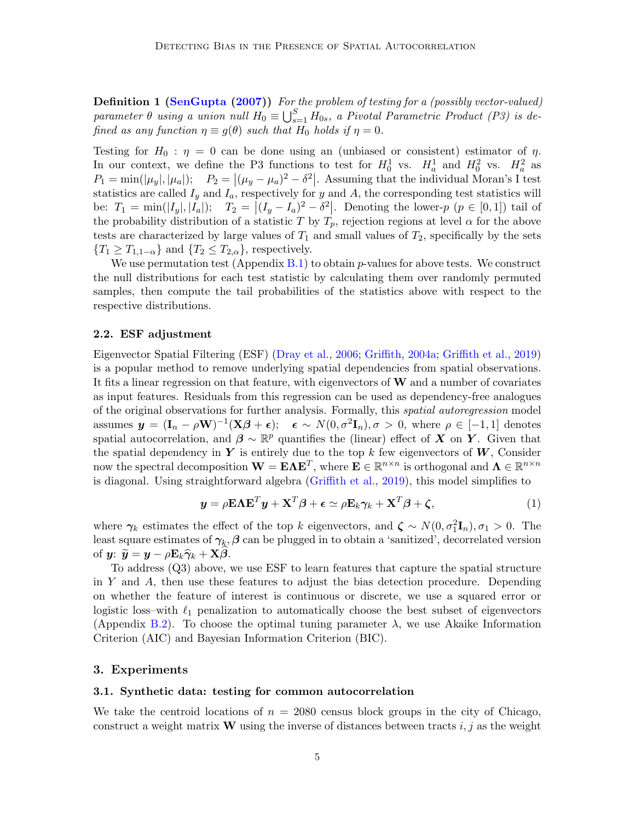**Definition 1 [\(SenGupta](#page-10-9) [\(2007\)](#page-10-9))** For the problem of testing for a (possibly vector-valued) parameter  $\theta$  using a union null  $H_0 \equiv \bigcup_{s=1}^S H_{0s}$ , a Pivotal Parametric Product (P3) is defined as any function  $\eta \equiv g(\theta)$  such that  $H_0$  holds if  $\eta = 0$ .

Testing for  $H_0$ :  $\eta = 0$  can be done using an (unbiased or consistent) estimator of  $\eta$ . In our context, we define the P3 functions to test for  $H_0^1$  vs.  $H_a^1$  and  $H_0^2$  vs.  $H_a^2$  as  $P_1 = \min(|\mu_y|, |\mu_a|);$   $P_2 = |(\mu_y - \mu_a)^2 - \delta^2|$ . Assuming that the individual Moran's I test statistics are called  $I_y$  and  $I_a$ , respectively for y and A, the corresponding test statistics will be:  $T_1 = \min(|I_y|, |I_a|);$   $T_2 = |(I_y - I_a)^2 - \delta^2|$ . Denoting the lower-p  $(p \in [0, 1])$  tail of the probability distribution of a statistic T by  $T_p$ , rejection regions at level  $\alpha$  for the above tests are characterized by large values of  $T_1$  and small values of  $T_2$ , specifically by the sets  ${T_1 \geq T_{1,1-\alpha}}$  and  ${T_2 \leq T_{2,\alpha}}$ , respectively.

We use permutation test (Appendix  $B.1$ ) to obtain p-values for above tests. We construct the null distributions for each test statistic by calculating them over randomly permuted samples, then compute the tail probabilities of the statistics above with respect to the respective distributions.

#### 2.2. ESF adjustment

Eigenvector Spatial Filtering (ESF) [\(Dray et al.,](#page-9-9) [2006;](#page-9-9) [Griffith,](#page-9-10) [2004a;](#page-9-10) [Griffith et al.,](#page-9-11) [2019\)](#page-9-11) is a popular method to remove underlying spatial dependencies from spatial observations. It fits a linear regression on that feature, with eigenvectors of  $W$  and a number of covariates as input features. Residuals from this regression can be used as dependency-free analogues of the original observations for further analysis. Formally, this spatial autoregression model assumes  $y = (\mathbf{I}_n - \rho \mathbf{W})^{-1} (\mathbf{X}\boldsymbol{\beta} + \boldsymbol{\epsilon})$ ;  $\boldsymbol{\epsilon} \sim N(0, \sigma^2 \mathbf{I}_n)$ ,  $\sigma > 0$ , where  $\rho \in [-1, 1]$  denotes spatial autocorrelation, and  $\beta \sim \mathbb{R}^p$  quantifies the (linear) effect of X on Y. Given that the spatial dependency in Y is entirely due to the top k few eigenvectors of  $W$ . Consider now the spectral decomposition  $\mathbf{W} = \mathbf{E} \mathbf{\Lambda} \mathbf{E}^T$ , where  $\mathbf{E} \in \mathbb{R}^{n \times n}$  is orthogonal and  $\mathbf{\Lambda} \in \mathbb{R}^{n \times n}$ is diagonal. Using straightforward algebra [\(Griffith et al.,](#page-9-11) [2019\)](#page-9-11), this model simplifies to

$$
\mathbf{y} = \rho \mathbf{E} \mathbf{\Lambda} \mathbf{E}^T \mathbf{y} + \mathbf{X}^T \boldsymbol{\beta} + \boldsymbol{\epsilon} \simeq \rho \mathbf{E}_k \boldsymbol{\gamma}_k + \mathbf{X}^T \boldsymbol{\beta} + \boldsymbol{\zeta},
$$
(1)

where  $\gamma_k$  estimates the effect of the top k eigenvectors, and  $\zeta \sim N(0, \sigma_1^2 \mathbf{I}_n), \sigma_1 > 0$ . The least square estimates of  $\gamma_k$ ,  $\beta$  can be plugged in to obtain a 'sanitized', decorrelated version of  $y: \widetilde{y} = y - \rho \mathbf{E}_k \widehat{\gamma}_k + \mathbf{X}\beta.$ 

To address (Q3) above, we use ESF to learn features that capture the spatial structure in Y and A, then use these features to adjust the bias detection procedure. Depending on whether the feature of interest is continuous or discrete, we use a squared error or logistic loss–with  $\ell_1$  penalization to automatically choose the best subset of eigenvectors (Appendix [B.2\)](#page-11-2). To choose the optimal tuning parameter  $\lambda$ , we use Akaike Information Criterion (AIC) and Bayesian Information Criterion (BIC).

#### 3. Experiments

#### 3.1. Synthetic data: testing for common autocorrelation

We take the centroid locations of  $n = 2080$  census block groups in the city of Chicago, construct a weight matrix **W** using the inverse of distances between tracts i, j as the weight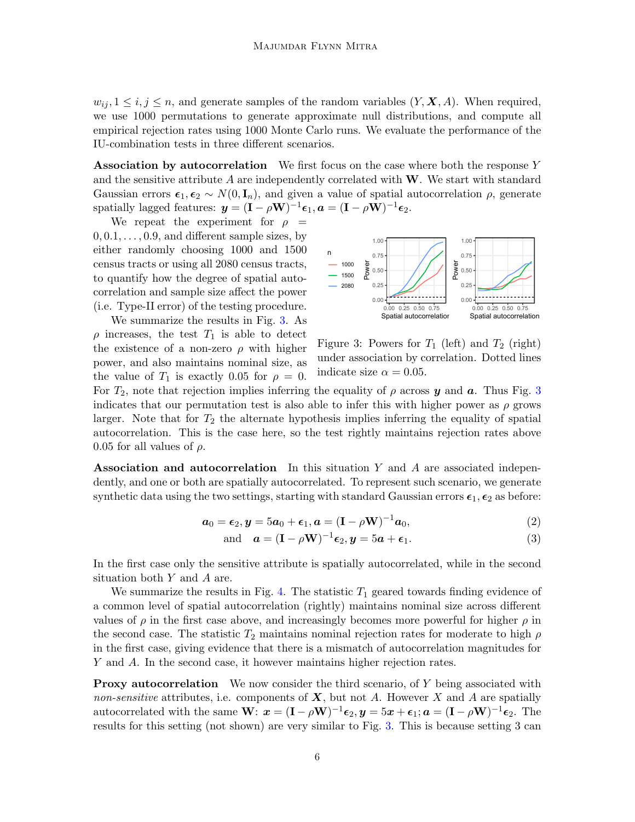$w_{ii}, 1 \leq i, j \leq n$ , and generate samples of the random variables  $(Y, \mathbf{X}, A)$ . When required, we use 1000 permutations to generate approximate null distributions, and compute all empirical rejection rates using 1000 Monte Carlo runs. We evaluate the performance of the IU-combination tests in three different scenarios.

Association by autocorrelation We first focus on the case where both the response  $Y$ and the sensitive attribute  $\vec{A}$  are independently correlated with W. We start with standard Gaussian errors  $\epsilon_1, \epsilon_2 \sim N(0, \mathbf{I}_n)$ , and given a value of spatial autocorrelation  $\rho$ , generate spatially lagged features:  $\mathbf{y} = (\mathbf{I} - \rho \mathbf{W})^{-1} \boldsymbol{\epsilon}_1, \mathbf{a} = (\mathbf{I} - \rho \mathbf{W})^{-1} \boldsymbol{\epsilon}_2.$ 

We repeat the experiment for  $\rho =$  $0, 0.1, \ldots, 0.9$ , and different sample sizes, by either randomly choosing 1000 and 1500 census tracts or using all 2080 census tracts, to quantify how the degree of spatial autocorrelation and sample size affect the power (i.e. Type-II error) of the testing procedure.

We summarize the results in Fig. [3.](#page-5-0) As  $\rho$  increases, the test  $T_1$  is able to detect the existence of a non-zero  $\rho$  with higher power, and also maintains nominal size, as the value of  $T_1$  is exactly 0.05 for  $\rho = 0$ .

<span id="page-5-0"></span>

Figure 3: Powers for  $T_1$  (left) and  $T_2$  (right) under association by correlation. Dotted lines indicate size  $\alpha = 0.05$ .

For  $T_2$ , note that rejection implies inferring the equality of  $\rho$  across y and a. Thus Fig. [3](#page-5-0) indicates that our permutation test is also able to infer this with higher power as  $\rho$  grows larger. Note that for  $T_2$  the alternate hypothesis implies inferring the equality of spatial autocorrelation. This is the case here, so the test rightly maintains rejection rates above 0.05 for all values of  $\rho$ .

Association and autocorrelation In this situation Y and A are associated independently, and one or both are spatially autocorrelated. To represent such scenario, we generate synthetic data using the two settings, starting with standard Gaussian errors  $\epsilon_1, \epsilon_2$  as before:

<span id="page-5-1"></span>
$$
\boldsymbol{a}_0 = \boldsymbol{\epsilon}_2, \boldsymbol{y} = 5\boldsymbol{a}_0 + \boldsymbol{\epsilon}_1, \boldsymbol{a} = (\mathbf{I} - \rho \mathbf{W})^{-1} \boldsymbol{a}_0,
$$
\n(2)

and 
$$
\mathbf{a} = (\mathbf{I} - \rho \mathbf{W})^{-1} \boldsymbol{\epsilon}_2, \mathbf{y} = 5\mathbf{a} + \boldsymbol{\epsilon}_1.
$$
 (3)

In the first case only the sensitive attribute is spatially autocorrelated, while in the second situation both Y and A are.

We summarize the results in Fig. [4.](#page-6-0) The statistic  $T_1$  geared towards finding evidence of a common level of spatial autocorrelation (rightly) maintains nominal size across different values of  $\rho$  in the first case above, and increasingly becomes more powerful for higher  $\rho$  in the second case. The statistic  $T_2$  maintains nominal rejection rates for moderate to high  $\rho$ in the first case, giving evidence that there is a mismatch of autocorrelation magnitudes for Y and A. In the second case, it however maintains higher rejection rates.

**Proxy autocorrelation** We now consider the third scenario, of  $Y$  being associated with non-sensitive attributes, i.e. components of  $X$ , but not A. However X and A are spatially autocorrelated with the same  $\mathbf{W}$ :  $\mathbf{x} = (\mathbf{I} - \rho \mathbf{W})^{-1} \boldsymbol{\epsilon}_2, \mathbf{y} = 5\mathbf{x} + \boldsymbol{\epsilon}_1; \mathbf{a} = (\mathbf{I} - \rho \mathbf{W})^{-1} \boldsymbol{\epsilon}_2$ . The results for this setting (not shown) are very similar to Fig. [3.](#page-5-0) This is because setting 3 can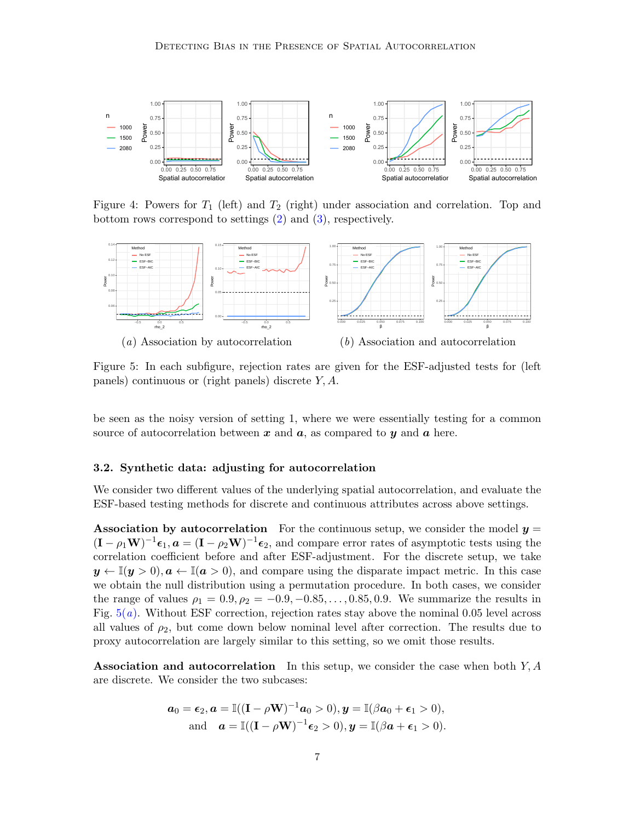<span id="page-6-0"></span>

Figure 4: Powers for  $T_1$  (left) and  $T_2$  (right) under association and correlation. Top and bottom rows correspond to settings [\(2\)](#page-5-1) and [\(3\)](#page-5-1), respectively.

<span id="page-6-1"></span>

<span id="page-6-2"></span>Figure 5: In each subfigure, rejection rates are given for the ESF-adjusted tests for (left panels) continuous or (right panels) discrete Y, A.

be seen as the noisy version of setting 1, where we were essentially testing for a common source of autocorrelation between  $x$  and  $a$ , as compared to  $y$  and  $a$  here.

#### 3.2. Synthetic data: adjusting for autocorrelation

We consider two different values of the underlying spatial autocorrelation, and evaluate the ESF-based testing methods for discrete and continuous attributes across above settings.

Association by autocorrelation For the continuous setup, we consider the model  $y =$  $(I - \rho_1 \mathbf{W})^{-1} \boldsymbol{\epsilon}_1, \boldsymbol{a} = (I - \rho_2 \mathbf{W})^{-1} \boldsymbol{\epsilon}_2$ , and compare error rates of asymptotic tests using the correlation coefficient before and after ESF-adjustment. For the discrete setup, we take  $y \leftarrow \mathbb{I}(y > 0), a \leftarrow \mathbb{I}(a > 0)$ , and compare using the disparate impact metric. In this case we obtain the null distribution using a permutation procedure. In both cases, we consider the range of values  $\rho_1 = 0.9, \rho_2 = -0.9, -0.85, \ldots, 0.85, 0.9$ . We summarize the results in Fig.  $5(a)$  $5(a)$ . Without ESF correction, rejection rates stay above the nominal 0.05 level across all values of  $\rho_2$ , but come down below nominal level after correction. The results due to proxy autocorrelation are largely similar to this setting, so we omit those results.

Association and autocorrelation In this setup, we consider the case when both  $Y, A$ are discrete. We consider the two subcases:

$$
\mathbf{a}_0 = \boldsymbol{\epsilon}_2, \mathbf{a} = \mathbb{I}((\mathbf{I} - \rho \mathbf{W})^{-1} \mathbf{a}_0 > 0), \mathbf{y} = \mathbb{I}(\beta \mathbf{a}_0 + \boldsymbol{\epsilon}_1 > 0),
$$
  
and 
$$
\mathbf{a} = \mathbb{I}((\mathbf{I} - \rho \mathbf{W})^{-1} \boldsymbol{\epsilon}_2 > 0), \mathbf{y} = \mathbb{I}(\beta \mathbf{a} + \boldsymbol{\epsilon}_1 > 0).
$$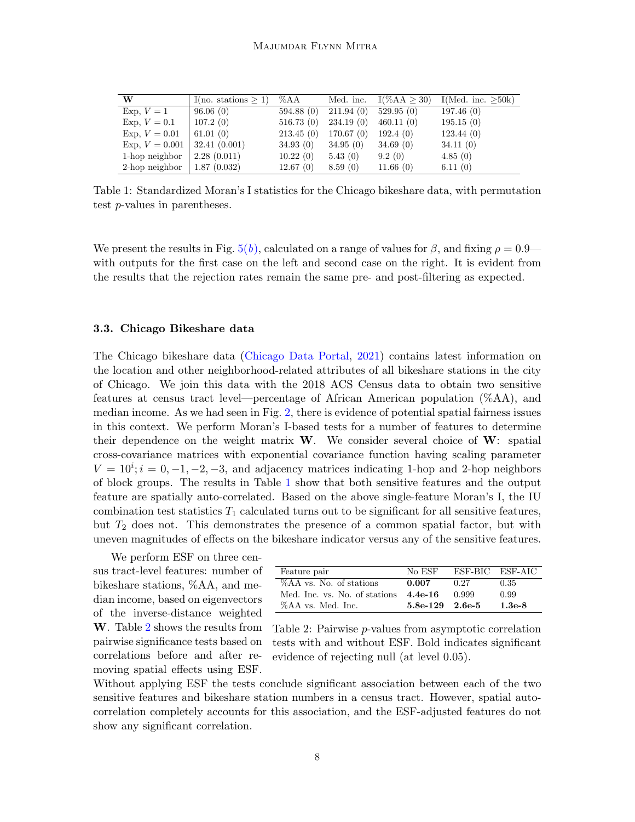<span id="page-7-0"></span>

| W                | $\mathbb{I}(\text{no. stations} > 1)$ | $\%AA$    | Med. inc. | $\mathbb{I}(\%AA > 30)$ | $\mathbb{I}(\text{Med. inc.} > 50k)$ |
|------------------|---------------------------------------|-----------|-----------|-------------------------|--------------------------------------|
| Exp. $V=1$       | 96.06(0)                              | 594.88(0) | 211.94(0) | 529.95(0)               | 197.46(0)                            |
| Exp. $V = 0.1$   | 107.2(0)                              | 516.73(0) | 234.19(0) | 460.11(0)               | 195.15(0)                            |
| $Exp, V = 0.01$  | 61.01(0)                              | 213.45(0) | 170.67(0) | 192.4(0)                | 123.44(0)                            |
| Exp. $V = 0.001$ | 32.41(0.001)                          | 34.93(0)  | 34.95(0)  | 34.69(0)                | 34.11(0)                             |
| 1-hop neighbor   | 2.28(0.011)                           | 10.22(0)  | 5.43(0)   | 9.2(0)                  | 4.85(0)                              |
| 2-hop neighbor   | 1.87(0.032)                           | 12.67(0)  | 8.59(0)   | 11.66(0)                | 6.11(0)                              |

Table 1: Standardized Moran's I statistics for the Chicago bikeshare data, with permutation test p-values in parentheses.

We present the results in Fig.  $5(b)$  $5(b)$ , calculated on a range of values for  $\beta$ , and fixing  $\rho = 0.9$  with outputs for the first case on the left and second case on the right. It is evident from the results that the rejection rates remain the same pre- and post-filtering as expected.

#### 3.3. Chicago Bikeshare data

The Chicago bikeshare data [\(Chicago Data Portal,](#page-8-3) [2021\)](#page-8-3) contains latest information on the location and other neighborhood-related attributes of all bikeshare stations in the city of Chicago. We join this data with the 2018 ACS Census data to obtain two sensitive features at census tract level—percentage of African American population (%AA), and median income. As we had seen in Fig. [2,](#page-1-2) there is evidence of potential spatial fairness issues in this context. We perform Moran's I-based tests for a number of features to determine their dependence on the weight matrix  $W$ . We consider several choice of  $W$ : spatial cross-covariance matrices with exponential covariance function having scaling parameter  $V = 10^{i}; i = 0, -1, -2, -3$ , and adjacency matrices indicating 1-hop and 2-hop neighbors of block groups. The results in Table [1](#page-7-0) show that both sensitive features and the output feature are spatially auto-correlated. Based on the above single-feature Moran's I, the IU combination test statistics  $T_1$  calculated turns out to be significant for all sensitive features, but  $T_2$  does not. This demonstrates the presence of a common spatial factor, but with uneven magnitudes of effects on the bikeshare indicator versus any of the sensitive features.

We perform ESF on three census tract-level features: number of bikeshare stations, %AA, and median income, based on eigenvectors of the inverse-distance weighted W. Table [2](#page-7-1) shows the results from pairwise significance tests based on correlations before and after removing spatial effects using ESF.

<span id="page-7-1"></span>

| Feature pair                  | No ESF     |        | ESE-BIC ESE-AIC |
|-------------------------------|------------|--------|-----------------|
| %AA vs. No. of stations       | 0.007      | 0.27   | 0.35            |
| Med. Inc. vs. No. of stations | $4.4e-16$  | 0.999  | 0.99            |
| %AA vs. Med. Inc.             | $5.8e-129$ | 2.6e-5 | $1.3e-8$        |

Table 2: Pairwise p-values from asymptotic correlation tests with and without ESF. Bold indicates significant evidence of rejecting null (at level 0.05).

Without applying ESF the tests conclude significant association between each of the two sensitive features and bikeshare station numbers in a census tract. However, spatial autocorrelation completely accounts for this association, and the ESF-adjusted features do not show any significant correlation.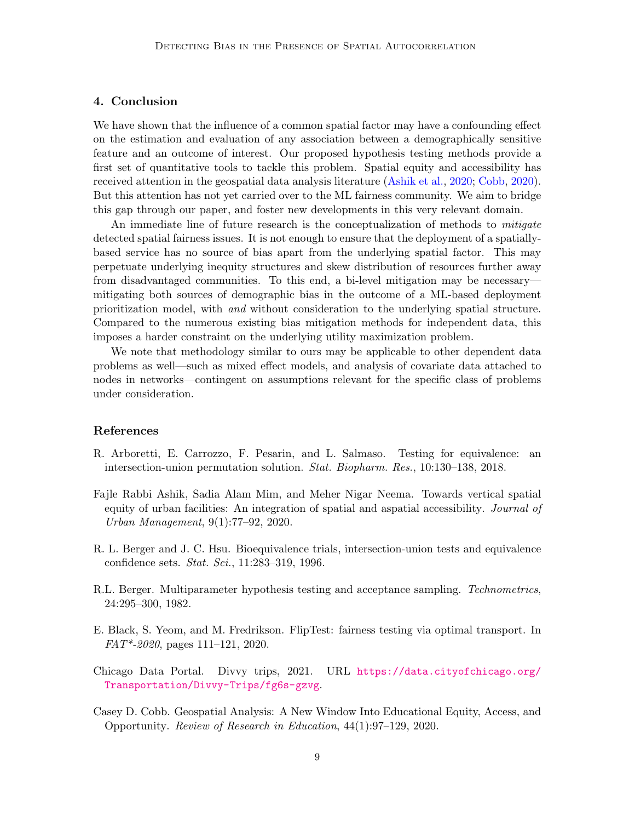# 4. Conclusion

We have shown that the influence of a common spatial factor may have a confounding effect on the estimation and evaluation of any association between a demographically sensitive feature and an outcome of interest. Our proposed hypothesis testing methods provide a first set of quantitative tools to tackle this problem. Spatial equity and accessibility has received attention in the geospatial data analysis literature [\(Ashik et al.,](#page-8-4) [2020;](#page-8-4) [Cobb,](#page-8-5) [2020\)](#page-8-5). But this attention has not yet carried over to the ML fairness community. We aim to bridge this gap through our paper, and foster new developments in this very relevant domain.

An immediate line of future research is the conceptualization of methods to mitigate detected spatial fairness issues. It is not enough to ensure that the deployment of a spatiallybased service has no source of bias apart from the underlying spatial factor. This may perpetuate underlying inequity structures and skew distribution of resources further away from disadvantaged communities. To this end, a bi-level mitigation may be necessary mitigating both sources of demographic bias in the outcome of a ML-based deployment prioritization model, with and without consideration to the underlying spatial structure. Compared to the numerous existing bias mitigation methods for independent data, this imposes a harder constraint on the underlying utility maximization problem.

We note that methodology similar to ours may be applicable to other dependent data problems as well—such as mixed effect models, and analysis of covariate data attached to nodes in networks—contingent on assumptions relevant for the specific class of problems under consideration.

# References

- <span id="page-8-6"></span>R. Arboretti, E. Carrozzo, F. Pesarin, and L. Salmaso. Testing for equivalence: an intersection-union permutation solution. Stat. Biopharm. Res., 10:130–138, 2018.
- <span id="page-8-4"></span>Fajle Rabbi Ashik, Sadia Alam Mim, and Meher Nigar Neema. Towards vertical spatial equity of urban facilities: An integration of spatial and aspatial accessibility. Journal of Urban Management, 9(1):77–92, 2020.
- <span id="page-8-2"></span>R. L. Berger and J. C. Hsu. Bioequivalence trials, intersection-union tests and equivalence confidence sets. Stat. Sci., 11:283–319, 1996.
- <span id="page-8-1"></span>R.L. Berger. Multiparameter hypothesis testing and acceptance sampling. Technometrics, 24:295–300, 1982.
- <span id="page-8-0"></span>E. Black, S. Yeom, and M. Fredrikson. FlipTest: fairness testing via optimal transport. In FAT\*-2020, pages 111–121, 2020.
- <span id="page-8-3"></span>Chicago Data Portal. Divvy trips, 2021. URL [https://data.cityofchicago.org/](https://data.cityofchicago.org/Transportation/Divvy-Trips/fg6s-gzvg) [Transportation/Divvy-Trips/fg6s-gzvg](https://data.cityofchicago.org/Transportation/Divvy-Trips/fg6s-gzvg).
- <span id="page-8-5"></span>Casey D. Cobb. Geospatial Analysis: A New Window Into Educational Equity, Access, and Opportunity. Review of Research in Education, 44(1):97–129, 2020.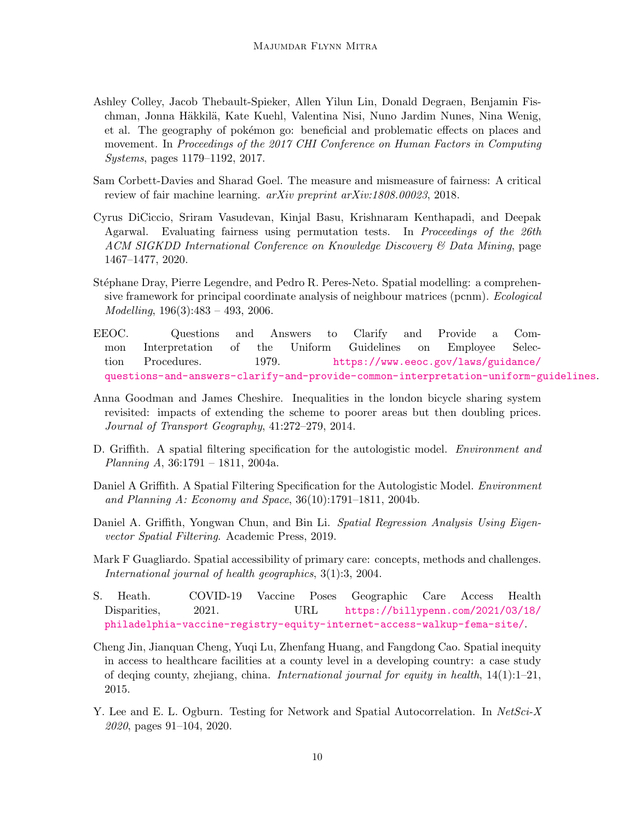- <span id="page-9-5"></span>Ashley Colley, Jacob Thebault-Spieker, Allen Yilun Lin, Donald Degraen, Benjamin Fischman, Jonna Häkkilä, Kate Kuehl, Valentina Nisi, Nuno Jardim Nunes, Nina Wenig, et al. The geography of pokémon go: beneficial and problematic effects on places and movement. In Proceedings of the 2017 CHI Conference on Human Factors in Computing Systems, pages 1179–1192, 2017.
- <span id="page-9-0"></span>Sam Corbett-Davies and Sharad Goel. The measure and mismeasure of fairness: A critical review of fair machine learning. arXiv preprint arXiv:1808.00023, 2018.
- <span id="page-9-6"></span>Cyrus DiCiccio, Sriram Vasudevan, Kinjal Basu, Krishnaram Kenthapadi, and Deepak Agarwal. Evaluating fairness using permutation tests. In Proceedings of the 26th ACM SIGKDD International Conference on Knowledge Discovery & Data Mining, page 1467–1477, 2020.
- <span id="page-9-9"></span>Stéphane Dray, Pierre Legendre, and Pedro R. Peres-Neto. Spatial modelling: a comprehensive framework for principal coordinate analysis of neighbour matrices (pcnm). Ecological Modelling, 196(3):483 – 493, 2006.
- <span id="page-9-8"></span>EEOC. Questions and Answers to Clarify and Provide a Common Interpretation of the Uniform Guidelines on Employee Selection Procedures. 1979. [https://www.eeoc.gov/laws/guidance/](https://www.eeoc.gov/laws/guidance/questions-and-answers-clarify-and-provide-common-interpretation-uniform-guidelines) [questions-and-answers-clarify-and-provide-common-interpretation-uniform-guidelines](https://www.eeoc.gov/laws/guidance/questions-and-answers-clarify-and-provide-common-interpretation-uniform-guidelines).
- <span id="page-9-1"></span>Anna Goodman and James Cheshire. Inequalities in the london bicycle sharing system revisited: impacts of extending the scheme to poorer areas but then doubling prices. Journal of Transport Geography, 41:272–279, 2014.
- <span id="page-9-10"></span>D. Griffith. A spatial filtering specification for the autologistic model. *Environment and Planning A*,  $36:1791 - 1811$ ,  $2004a$ .
- <span id="page-9-12"></span>Daniel A Griffith. A Spatial Filtering Specification for the Autologistic Model. *Environment* and Planning A: Economy and Space, 36(10):1791–1811, 2004b.
- <span id="page-9-11"></span>Daniel A. Griffith, Yongwan Chun, and Bin Li. Spatial Regression Analysis Using Eigenvector Spatial Filtering. Academic Press, 2019.
- <span id="page-9-2"></span>Mark F Guagliardo. Spatial accessibility of primary care: concepts, methods and challenges. International journal of health geographics, 3(1):3, 2004.
- <span id="page-9-4"></span>S. Heath. COVID-19 Vaccine Poses Geographic Care Access Health Disparities, 2021. URL [https://billypenn.com/2021/03/18/](https://billypenn.com/2021/03/18/philadelphia-vaccine-registry-equity-internet-access-walkup-fema-site/) [philadelphia-vaccine-registry-equity-internet-access-walkup-fema-site/](https://billypenn.com/2021/03/18/philadelphia-vaccine-registry-equity-internet-access-walkup-fema-site/).
- <span id="page-9-3"></span>Cheng Jin, Jianquan Cheng, Yuqi Lu, Zhenfang Huang, and Fangdong Cao. Spatial inequity in access to healthcare facilities at a county level in a developing country: a case study of deqing county, zhejiang, china. International journal for equity in health,  $14(1):1-21$ , 2015.
- <span id="page-9-7"></span>Y. Lee and E. L. Ogburn. Testing for Network and Spatial Autocorrelation. In NetSci-X 2020, pages 91–104, 2020.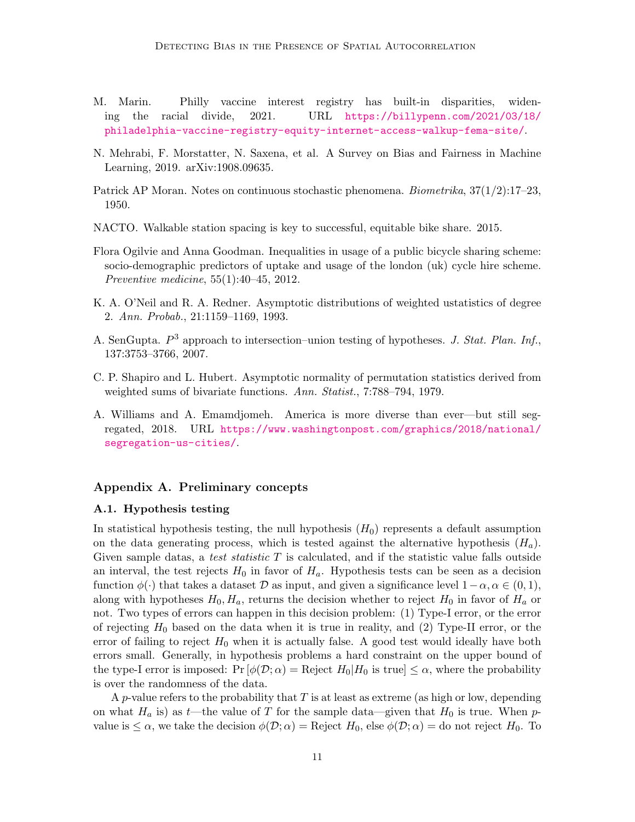- <span id="page-10-3"></span>M. Marin. Philly vaccine interest registry has built-in disparities, widening the racial divide, 2021. URL [https://billypenn.com/2021/03/18/](https://billypenn.com/2021/03/18/philadelphia-vaccine-registry-equity-internet-access-walkup-fema-site/) [philadelphia-vaccine-registry-equity-internet-access-walkup-fema-site/](https://billypenn.com/2021/03/18/philadelphia-vaccine-registry-equity-internet-access-walkup-fema-site/).
- <span id="page-10-4"></span>N. Mehrabi, F. Morstatter, N. Saxena, et al. A Survey on Bias and Fairness in Machine Learning, 2019. arXiv:1908.09635.
- <span id="page-10-5"></span>Patrick AP Moran. Notes on continuous stochastic phenomena. Biometrika, 37(1/2):17–23, 1950.
- <span id="page-10-2"></span>NACTO. Walkable station spacing is key to successful, equitable bike share. 2015.
- <span id="page-10-1"></span>Flora Ogilvie and Anna Goodman. Inequalities in usage of a public bicycle sharing scheme: socio-demographic predictors of uptake and usage of the london (uk) cycle hire scheme. Preventive medicine, 55(1):40–45, 2012.
- <span id="page-10-8"></span>K. A. O'Neil and R. A. Redner. Asymptotic distributions of weighted ustatistics of degree 2. Ann. Probab., 21:1159–1169, 1993.
- <span id="page-10-9"></span>A. SenGupta.  $P^3$  approach to intersection-union testing of hypotheses. J. Stat. Plan. Inf., 137:3753–3766, 2007.
- <span id="page-10-7"></span>C. P. Shapiro and L. Hubert. Asymptotic normality of permutation statistics derived from weighted sums of bivariate functions. Ann. Statist., 7:788–794, 1979.
- <span id="page-10-0"></span>A. Williams and A. Emamdjomeh. America is more diverse than ever—but still segregated, 2018. URL [https://www.washingtonpost.com/graphics/2018/national/](https://www.washingtonpost.com/graphics/2018/national/segregation-us-cities/) [segregation-us-cities/](https://www.washingtonpost.com/graphics/2018/national/segregation-us-cities/).

## Appendix A. Preliminary concepts

#### <span id="page-10-6"></span>A.1. Hypothesis testing

In statistical hypothesis testing, the null hypothesis  $(H_0)$  represents a default assumption on the data generating process, which is tested against the alternative hypothesis  $(H_a)$ . Given sample datas, a test statistic  $T$  is calculated, and if the statistic value falls outside an interval, the test rejects  $H_0$  in favor of  $H_a$ . Hypothesis tests can be seen as a decision function  $\phi(\cdot)$  that takes a dataset D as input, and given a significance level  $1-\alpha, \alpha \in (0,1)$ , along with hypotheses  $H_0, H_a$ , returns the decision whether to reject  $H_0$  in favor of  $H_a$  or not. Two types of errors can happen in this decision problem: (1) Type-I error, or the error of rejecting  $H_0$  based on the data when it is true in reality, and (2) Type-II error, or the error of failing to reject  $H_0$  when it is actually false. A good test would ideally have both errors small. Generally, in hypothesis problems a hard constraint on the upper bound of the type-I error is imposed:  $Pr[\phi(\mathcal{D}; \alpha) =$  Reject  $H_0|H_0$  is true  $\leq \alpha$ , where the probability is over the randomness of the data.

A p-value refers to the probability that  $T$  is at least as extreme (as high or low, depending on what  $H_a$  is) as t—the value of T for the sample data—given that  $H_0$  is true. When pvalue is  $\leq \alpha$ , we take the decision  $\phi(\mathcal{D}; \alpha) =$  Reject  $H_0$ , else  $\phi(\mathcal{D}; \alpha) =$  do not reject  $H_0$ . To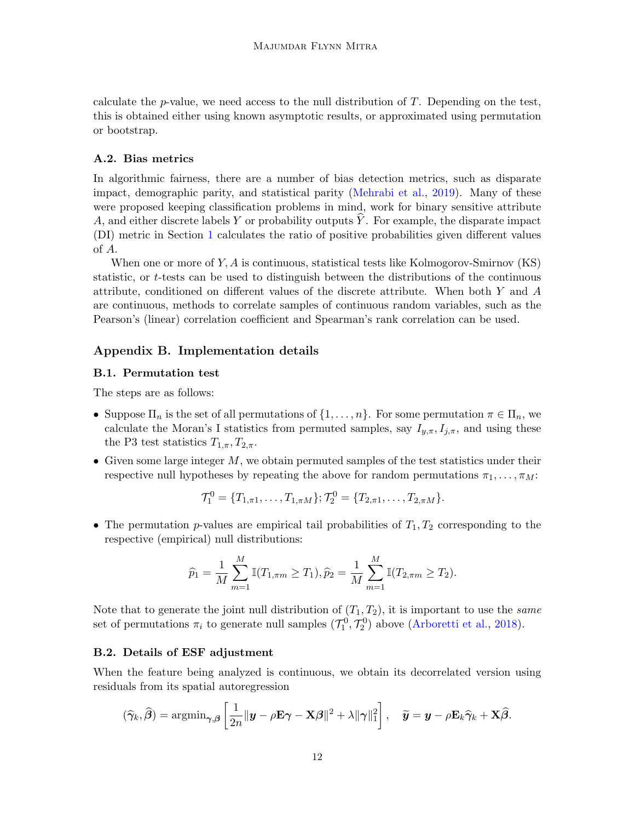calculate the  $p$ -value, we need access to the null distribution of  $T$ . Depending on the test, this is obtained either using known asymptotic results, or approximated using permutation or bootstrap.

# <span id="page-11-0"></span>A.2. Bias metrics

In algorithmic fairness, there are a number of bias detection metrics, such as disparate impact, demographic parity, and statistical parity [\(Mehrabi et al.,](#page-10-4) [2019\)](#page-10-4). Many of these were proposed keeping classification problems in mind, work for binary sensitive attribute A, and either discrete labels Y or probability outputs Y. For example, the disparate impact (DI) metric in Section [1](#page-0-1) calculates the ratio of positive probabilities given different values of A.

When one or more of  $Y, A$  is continuous, statistical tests like Kolmogorov-Smirnov  $(KS)$ statistic, or t-tests can be used to distinguish between the distributions of the continuous attribute, conditioned on different values of the discrete attribute. When both Y and A are continuous, methods to correlate samples of continuous random variables, such as the Pearson's (linear) correlation coefficient and Spearman's rank correlation can be used.

# Appendix B. Implementation details

## <span id="page-11-1"></span>B.1. Permutation test

The steps are as follows:

- Suppose  $\Pi_n$  is the set of all permutations of  $\{1,\ldots,n\}$ . For some permutation  $\pi \in \Pi_n$ , we calculate the Moran's I statistics from permuted samples, say  $I_{y,\pi}, I_{j,\pi}$ , and using these the P3 test statistics  $T_{1,\pi}, T_{2,\pi}$ .
- Given some large integer  $M$ , we obtain permuted samples of the test statistics under their respective null hypotheses by repeating the above for random permutations  $\pi_1, \ldots, \pi_M$ :

$$
\mathcal{T}_1^0 = \{T_{1,\pi 1}, \ldots, T_{1,\pi M}\}; \mathcal{T}_2^0 = \{T_{2,\pi 1}, \ldots, T_{2,\pi M}\}.
$$

• The permutation p-values are empirical tail probabilities of  $T_1, T_2$  corresponding to the respective (empirical) null distributions:

$$
\widehat{p}_1 = \frac{1}{M} \sum_{m=1}^{M} \mathbb{I}(T_{1, \pi m} \geq T_1), \widehat{p}_2 = \frac{1}{M} \sum_{m=1}^{M} \mathbb{I}(T_{2, \pi m} \geq T_2).
$$

Note that to generate the joint null distribution of  $(T_1, T_2)$ , it is important to use the *same* set of permutations  $\pi_i$  to generate null samples  $(\mathcal{T}_1^0, \mathcal{T}_2^0)$  above [\(Arboretti et al.,](#page-8-6) [2018\)](#page-8-6).

# <span id="page-11-2"></span>B.2. Details of ESF adjustment

When the feature being analyzed is continuous, we obtain its decorrelated version using residuals from its spatial autoregression

$$
(\widehat{\boldsymbol{\gamma}}_k, \widehat{\boldsymbol{\beta}}) = \operatorname{argmin}_{\boldsymbol{\gamma}, \boldsymbol{\beta}} \left[ \frac{1}{2n} ||\boldsymbol{y} - \rho \mathbf{E} \boldsymbol{\gamma} - \mathbf{X} \boldsymbol{\beta}||^2 + \lambda ||\boldsymbol{\gamma}||_1^2 \right], \quad \widetilde{\boldsymbol{y}} = \boldsymbol{y} - \rho \mathbf{E}_k \widehat{\boldsymbol{\gamma}}_k + \mathbf{X} \widehat{\boldsymbol{\beta}}.
$$